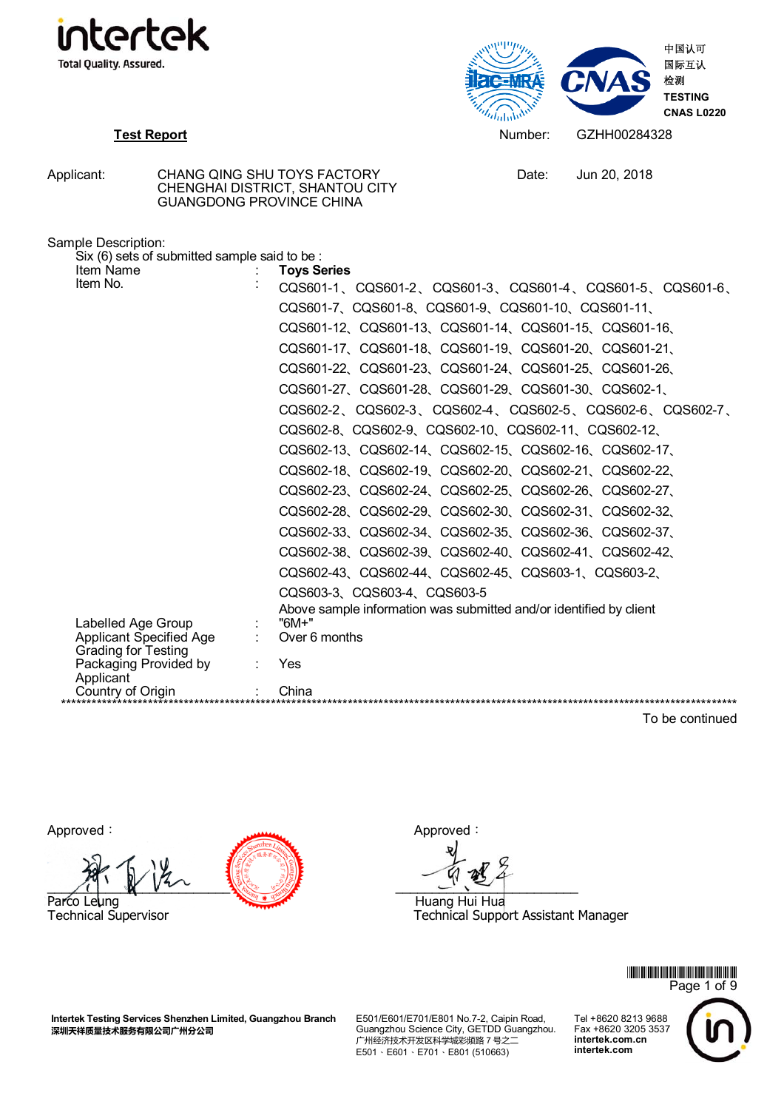



Date: Jun 20, 2018

| Applicant: | CHANG QING SHU TOYS FACTORY<br>CHENGHAI DISTRICT, SHANTOU CITY |
|------------|----------------------------------------------------------------|
|            | <b>GUANGDONG PROVINCE CHINA</b>                                |

| Six (6) sets of submitted sample said to be:<br>Item Name | <b>Toys Series</b>                                                          |
|-----------------------------------------------------------|-----------------------------------------------------------------------------|
| Item No.                                                  | CQS601-1 CQS601-2 CQS601-3 CQS601-4 CQS601-5 CQS601-6                       |
|                                                           | CQS601-7、CQS601-8、CQS601-9、CQS601-10、CQS601-11、                             |
|                                                           | CQS601-12、CQS601-13、CQS601-14、CQS601-15、CQS601-16、                          |
|                                                           | CQS601-17、CQS601-18、CQS601-19、CQS601-20、CQS601-21、                          |
|                                                           | CQS601-22、CQS601-23、CQS601-24、CQS601-25、CQS601-26、                          |
|                                                           | CQS601-27、CQS601-28、CQS601-29、CQS601-30、CQS602-1、                           |
|                                                           | CQS602-2、CQS602-3、CQS602-4、CQS602-5、CQS602-6、CQS602-7、                      |
|                                                           | CQS602-8、CQS602-9、CQS602-10、CQS602-11、CQS602-12、                            |
|                                                           | CQS602-13、CQS602-14、CQS602-15、CQS602-16、CQS602-17、                          |
|                                                           | CQS602-18、CQS602-19、CQS602-20、CQS602-21、CQS602-22、                          |
|                                                           | CQS602-23、CQS602-24、CQS602-25、CQS602-26、CQS602-27、                          |
|                                                           | CQS602-28、CQS602-29、CQS602-30、CQS602-31、CQS602-32、                          |
|                                                           | CQS602-33、CQS602-34、CQS602-35、CQS602-36、CQS602-37、                          |
|                                                           | CQS602-38、CQS602-39、CQS602-40、CQS602-41、CQS602-42、                          |
|                                                           | CQS602-43、CQS602-44、CQS602-45、CQS603-1、CQS603-2、                            |
|                                                           | CQS603-3、CQS603-4、CQS603-5                                                  |
|                                                           | Above sample information was submitted and/or identified by client<br>"6M+" |
| Labelled Age Group<br><b>Applicant Specified Age</b>      | : Over 6 months                                                             |
| <b>Grading for Testing</b>                                |                                                                             |
| Packaging Provided by<br>Applicant                        | Yes                                                                         |
| Country of Origin                                         | China                                                                       |

To be continued

Approved: Approved: Approved:

 $\mathcal{L}$  and  $\mathcal{L}$  and  $\mathcal{L}$  and  $\mathcal{L}$  and  $\mathcal{L}$  and  $\mathcal{L}$  and  $\mathcal{L}$  and  $\mathcal{L}$  and  $\mathcal{L}$  and  $\mathcal{L}$  and  $\mathcal{L}$  and  $\mathcal{L}$  and  $\mathcal{L}$  and  $\mathcal{L}$  and  $\mathcal{L}$  and  $\mathcal{L}$  and  $\mathcal{L}$  and Parco Leung Technical Supervisor Technical Supervisor Technical Support Technical Support Technical Support Technical Support Technical Support Technical Support Technical Support Technical Support Technical Support Techni

Technical Support Assistant Manager



**Intertek Testing Services Shenzhen Limited, Guangzhou Branch**  深圳天祥质量技术服务有限公司广州分公司

E501/E601/E701/E801 No.7-2, Caipin Road, Guangzhou Science City, GETDD Guangzhou. 广州经济技术开发区科学城彩频路 7 号之二 E501、E601、E701、E801 (510663)

Tel +8620 8213 9688 Fax +8620 3205 3537 **intertek.com.cn intertek.com**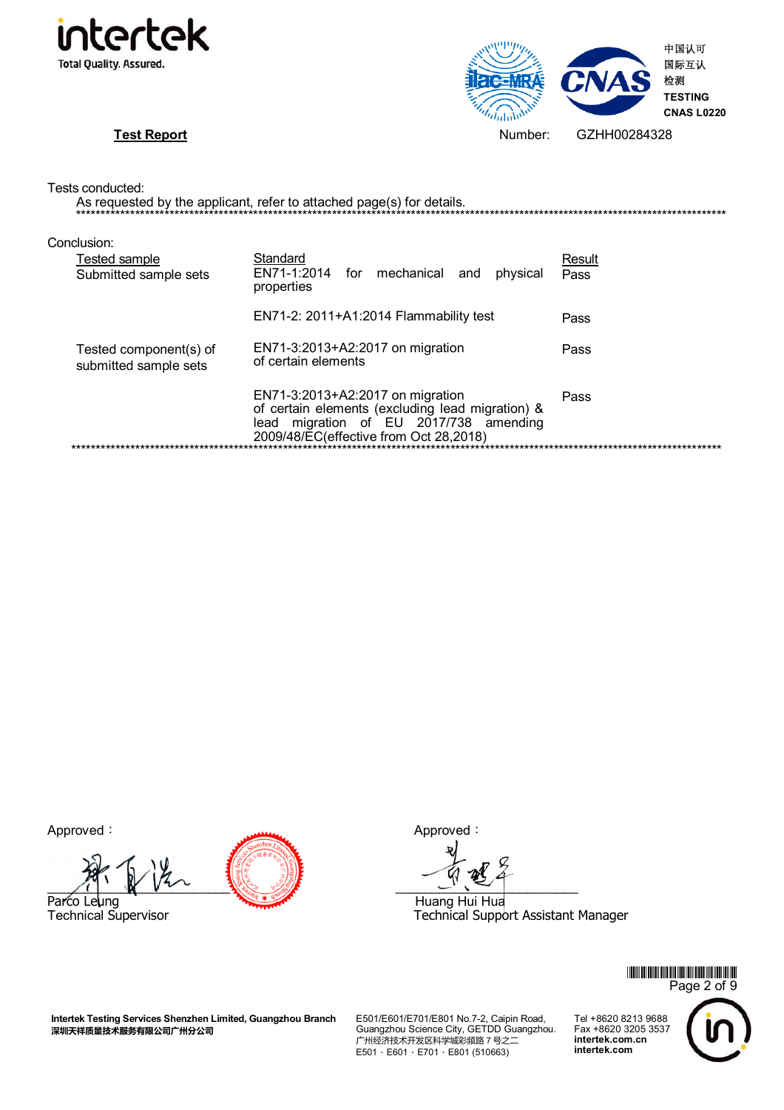



|                                                       | As requested by the applicant, refer to attached page(s) for details.                                                                                                    |                |
|-------------------------------------------------------|--------------------------------------------------------------------------------------------------------------------------------------------------------------------------|----------------|
| Conclusion:<br>Tested sample<br>Submitted sample sets | Standard<br>EN71-1:2014 for mechanical and<br>physical<br>properties                                                                                                     | Result<br>Pass |
|                                                       | EN71-2: $2011+A1:2014$ Flammability test                                                                                                                                 | Pass           |
| Tested component(s) of<br>submitted sample sets       | EN71-3:2013+A2:2017 on migration<br>of certain elements                                                                                                                  | Pass           |
|                                                       | EN71-3:2013+A2:2017 on migration<br>of certain elements (excluding lead migration) &<br>lead migration of EU 2017/738 amending<br>2009/48/EC(effective from Oct 28,2018) | Pass           |

Approved: Approved: Approved:

 $\mathcal{L}$  and  $\mathcal{L}$  and  $\mathcal{L}$  and  $\mathcal{L}$  and  $\mathcal{L}$  and  $\mathcal{L}$  and  $\mathcal{L}$  and  $\mathcal{L}$  and  $\mathcal{L}$  and  $\mathcal{L}$  and  $\mathcal{L}$  and  $\mathcal{L}$  and  $\mathcal{L}$  and  $\mathcal{L}$  and  $\mathcal{L}$  and  $\mathcal{L}$  and  $\mathcal{L}$  and Parco Leung Technical Supervisor Technical Supervisor Technical Support Technical Support Technical Support Technical Support Technical Support Technical Support Technical Support Technical Support Technical Support Techni

Technical Support Assistant Manager

\*GZHJ284328\* Page 2 of 9 Tel +8620 8213 9688 Fax +8620 3205 3537 **intertek.com.cn intertek.com**

**Intertek Testing Services Shenzhen Limited, Guangzhou Branch**  深圳天祥质量技术服务有限公司广州分公司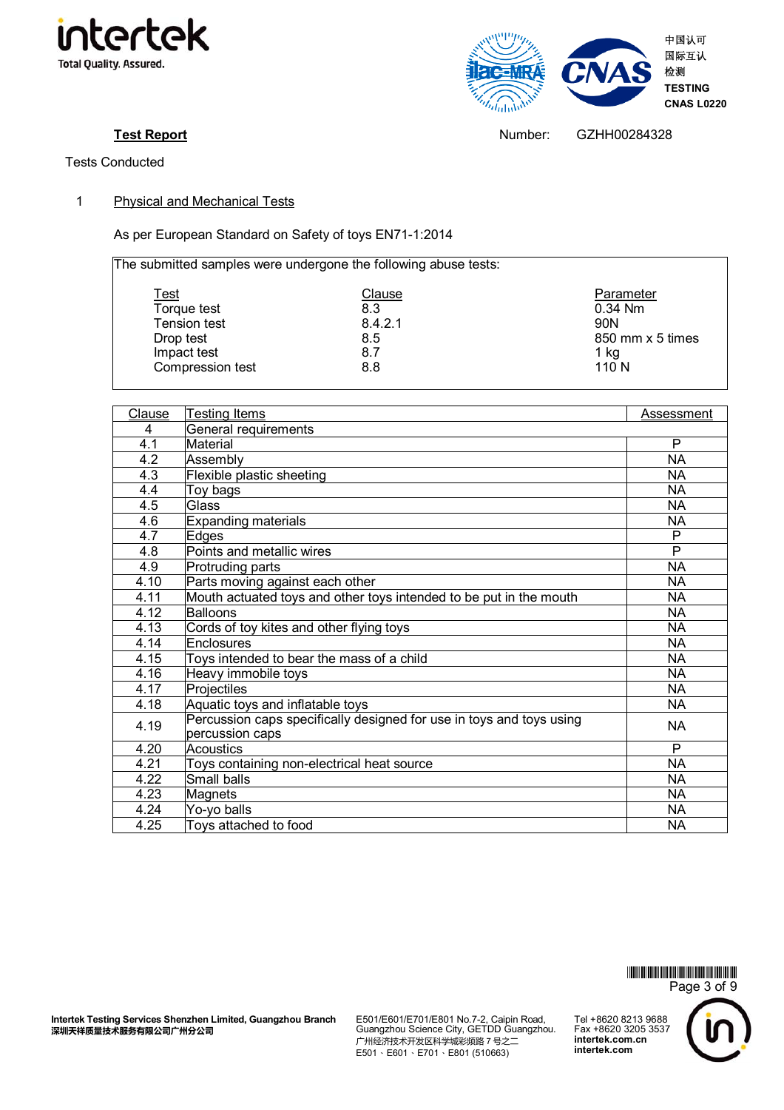



Test Report **Test Report Number:** GZHH00284328

Tests Conducted

1 Physical and Mechanical Tests

As per European Standard on Safety of toys EN71-1:2014

 The submitted samples were undergone the following abuse tests:

| <u>Test</u>         | Clause  | Parameter        |
|---------------------|---------|------------------|
| Torque test         | 8.3     | 0.34 Nm          |
| <b>Tension test</b> | 8.4.2.1 | 90 <sub>N</sub>  |
| Drop test           | 8.5     | 850 mm x 5 times |
| Impact test         | 8.7     | 1 kg             |
| Compression test    | 8.8     | 110 <sub>N</sub> |

| Clause | Testing Items                                                                           | Assessment |
|--------|-----------------------------------------------------------------------------------------|------------|
| 4      | General requirements                                                                    |            |
| 4.1    | Material                                                                                | P          |
| 4.2    | Assembly                                                                                | <b>NA</b>  |
| 4.3    | Flexible plastic sheeting                                                               | <b>NA</b>  |
| 4.4    | Toy bags                                                                                | NA.        |
| 4.5    | Glass                                                                                   | <b>NA</b>  |
| 4.6    | <b>Expanding materials</b>                                                              | NA.        |
| 4.7    | Edges                                                                                   | P          |
| 4.8    | Points and metallic wires                                                               | P          |
| 4.9    | Protruding parts                                                                        | <b>NA</b>  |
| 4.10   | Parts moving against each other                                                         | NA         |
| 4.11   | Mouth actuated toys and other toys intended to be put in the mouth                      | <b>NA</b>  |
| 4.12   | <b>Balloons</b>                                                                         | <b>NA</b>  |
| 4.13   | Cords of toy kites and other flying toys                                                | <b>NA</b>  |
| 4.14   | Enclosures                                                                              | <b>NA</b>  |
| 4.15   | Toys intended to bear the mass of a child                                               | NA.        |
| 4.16   | Heavy immobile toys                                                                     | <b>NA</b>  |
| 4.17   | Projectiles                                                                             | <b>NA</b>  |
| 4.18   | Aquatic toys and inflatable toys                                                        | NA         |
| 4.19   | Percussion caps specifically designed for use in toys and toys using<br>percussion caps | NA.        |
| 4.20   | Acoustics                                                                               | P          |
| 4.21   | Toys containing non-electrical heat source                                              | <b>NA</b>  |
| 4.22   | Small balls                                                                             | <b>NA</b>  |
| 4.23   | Magnets                                                                                 | <b>NA</b>  |
| 4.24   | Yo-yo balls                                                                             | NA.        |
| 4.25   | Toys attached to food                                                                   | <b>NA</b>  |

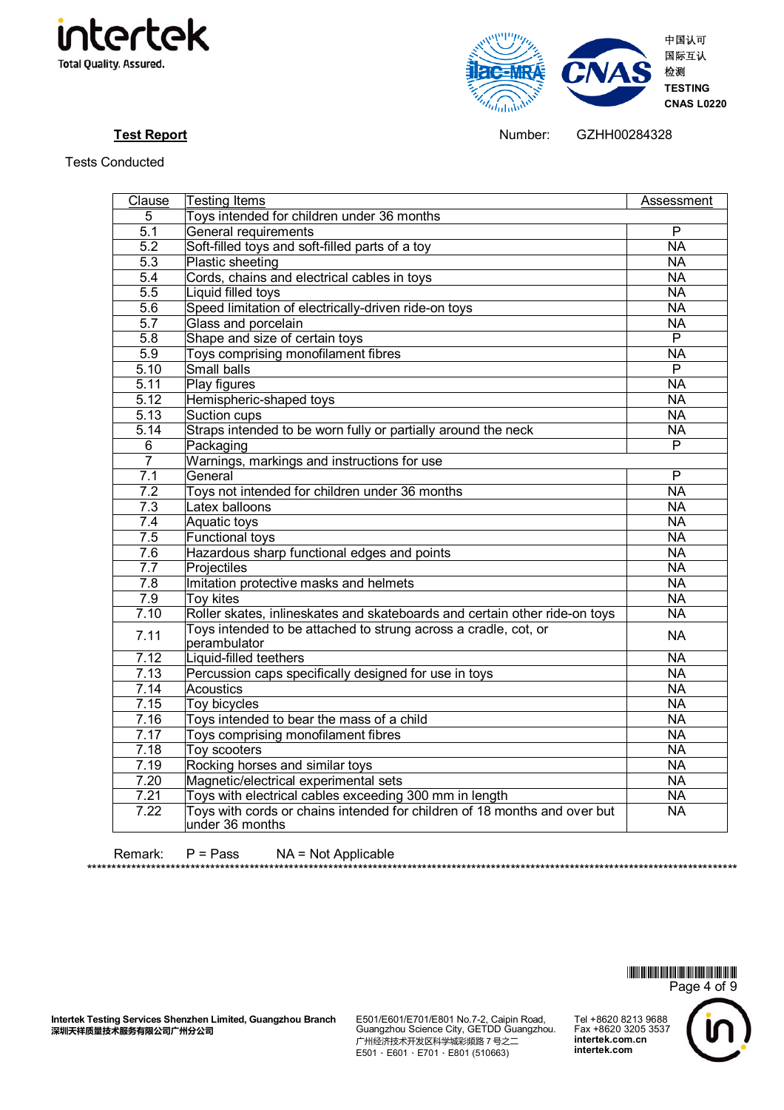



**Test Report Number:** GZHH00284328

Tests Conducted

| Clause           | Testing Items                                                                                | Assessment      |
|------------------|----------------------------------------------------------------------------------------------|-----------------|
| 5                | Toys intended for children under 36 months                                                   |                 |
| $\overline{5.1}$ | General requirements                                                                         | $\overline{P}$  |
| 5.2              | Soft-filled toys and soft-filled parts of a toy                                              | <b>NA</b>       |
| $\overline{5.3}$ | Plastic sheeting                                                                             | $\overline{NA}$ |
| 5.4              | Cords, chains and electrical cables in toys                                                  | <b>NA</b>       |
| 5.5              | Liquid filled toys                                                                           | <b>NA</b>       |
| 5.6              | Speed limitation of electrically-driven ride-on toys                                         | <b>NA</b>       |
| $\overline{5.7}$ | Glass and porcelain                                                                          | <b>NA</b>       |
| 5.8              | Shape and size of certain toys                                                               | $\overline{P}$  |
| 5.9              | Toys comprising monofilament fibres                                                          | <b>NA</b>       |
| 5.10             | Small balls                                                                                  | $\overline{P}$  |
| 5.11             | Play figures                                                                                 | <b>NA</b>       |
| 5.12             | Hemispheric-shaped toys                                                                      | <b>NA</b>       |
| 5.13             | Suction cups                                                                                 | $\overline{NA}$ |
| 5.14             | Straps intended to be worn fully or partially around the neck                                | <b>NA</b>       |
| 6                | Packaging                                                                                    | $\overline{P}$  |
| $\overline{7}$   | Warnings, markings and instructions for use                                                  |                 |
| 7.1              | General                                                                                      | P               |
| $\overline{7.2}$ | Toys not intended for children under 36 months                                               | <b>NA</b>       |
| 7.3              | Latex balloons                                                                               | <b>NA</b>       |
| 7.4              | <b>Aquatic toys</b>                                                                          | <b>NA</b>       |
| 7.5              | <b>Functional toys</b>                                                                       | <b>NA</b>       |
| 7.6              | Hazardous sharp functional edges and points                                                  | <b>NA</b>       |
| 7.7              | Projectiles                                                                                  | N <sub>A</sub>  |
| $7.\overline{8}$ | Imitation protective masks and helmets                                                       | <b>NA</b>       |
| 7.9              | Toy kites                                                                                    | <b>NA</b>       |
| 7.10             | Roller skates, inlineskates and skateboards and certain other ride-on toys                   | <b>NA</b>       |
| 7.11             | Toys intended to be attached to strung across a cradle, cot, or<br>perambulator              | <b>NA</b>       |
| 7.12             | Liquid-filled teethers                                                                       | <b>NA</b>       |
| 7.13             | Percussion caps specifically designed for use in toys                                        | N <sub>A</sub>  |
| 7.14             | <b>Acoustics</b>                                                                             | <b>NA</b>       |
| 7.15             | Toy bicycles                                                                                 | <b>NA</b>       |
| 7.16             | Toys intended to bear the mass of a child                                                    | <b>NA</b>       |
| 7.17             | Toys comprising monofilament fibres                                                          | <b>NA</b>       |
| 7.18             | Toy scooters                                                                                 | <b>NA</b>       |
| 7.19             | Rocking horses and similar toys                                                              | N <sub>A</sub>  |
| 7.20             | Magnetic/electrical experimental sets                                                        | <b>NA</b>       |
| 7.21             | Toys with electrical cables exceeding 300 mm in length                                       | <b>NA</b>       |
| 7.22             | Toys with cords or chains intended for children of 18 months and over but<br>under 36 months | <b>NA</b>       |

Remark: P = Pass NA = Not Applicable

\*GZHJ284328\* Page 4 of 9 Tel +8620 8213 9688 Fax +8620 3205 3537 **intertek.com.cn intertek.com**

\*\*\*\*\*\*\*\*\*\*\*\*\*\*\*\*\*\*\*\*\*\*\*\*\*\*\*\*\*\*\*\*\*\*\*\*\*\*\*\*\*\*\*\*\*\*\*\*\*\*\*\*\*\*\*\*\*\*\*\*\*\*\*\*\*\*\*\*\*\*\*\*\*\*\*\*\*\*\*\*\*\*\*\*\*\*\*\*\*\*\*\*\*\*\*\*\*\*\*\*\*\*\*\*\*\*\*\*\*\*\*\*\*\*\*\*\*\*\*\*\*\*\*\*\*\*\*\*\*\*\*\*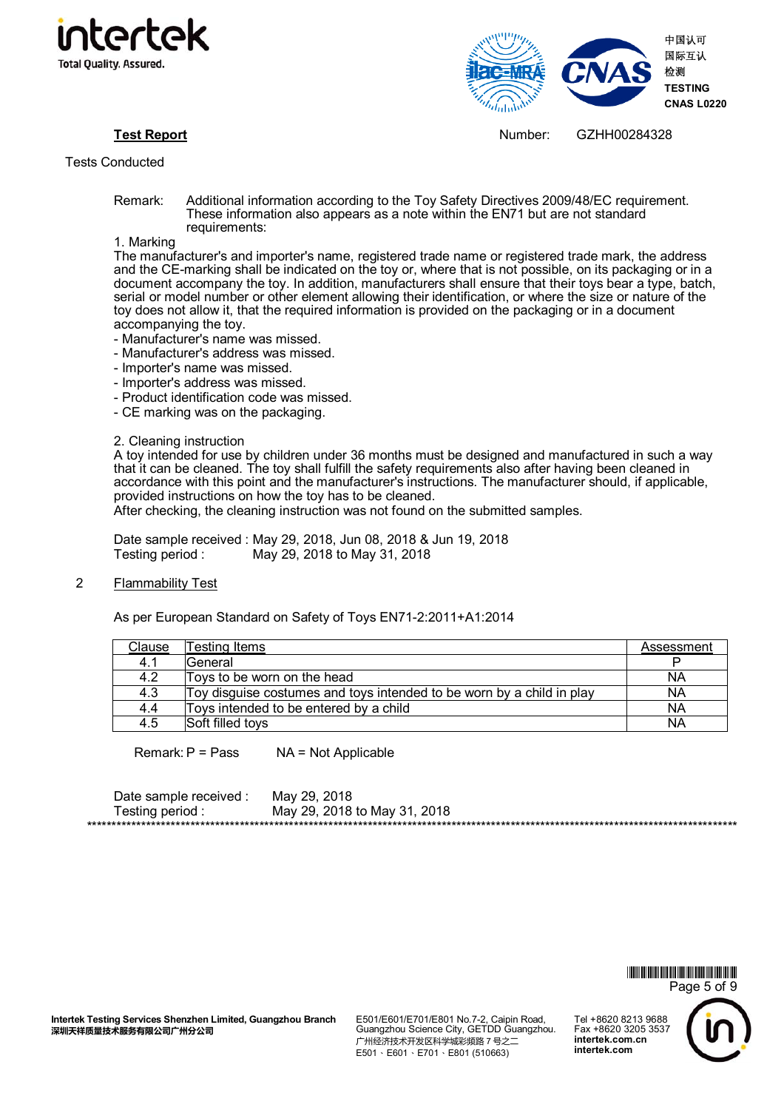



**Test Report** Number: GZHH00284328

- Remark: Additional information according to the Toy Safety Directives 2009/48/EC requirement. These information also appears as a note within the EN71 but are not standard requirements:
- 1. Marking

The manufacturer's and importer's name, registered trade name or registered trade mark, the address and the CE-marking shall be indicated on the toy or, where that is not possible, on its packaging or in a document accompany the toy. In addition, manufacturers shall ensure that their toys bear a type, batch, serial or model number or other element allowing their identification, or where the size or nature of the toy does not allow it, that the required information is provided on the packaging or in a document accompanying the toy.

- Manufacturer's name was missed.
- Manufacturer's address was missed.
- Importer's name was missed.
- Importer's address was missed.
- Product identification code was missed.
- CE marking was on the packaging.

2. Cleaning instruction

A toy intended for use by children under 36 months must be designed and manufactured in such a way that it can be cleaned. The toy shall fulfill the safety requirements also after having been cleaned in accordance with this point and the manufacturer's instructions. The manufacturer should, if applicable, provided instructions on how the toy has to be cleaned.

After checking, the cleaning instruction was not found on the submitted samples.

Date sample received : May 29, 2018, Jun 08, 2018 & Jun 19, 2018 Testing period : May 29, 2018 to May 31, 2018

2 Flammability Test

As per European Standard on Safety of Toys EN71-2:2011+A1:2014

| Clause | Testing Items                                                         | Assessment |
|--------|-----------------------------------------------------------------------|------------|
| 4.1    | <b>General</b>                                                        |            |
| 4.2    | Toys to be worn on the head                                           | NA         |
| 4.3    | Toy disguise costumes and toys intended to be worn by a child in play | NΑ         |
| 4.4    | Toys intended to be entered by a child                                | NA         |
| 4.5    | Soft filled toys                                                      | NΑ         |

Remark:  $P = Pass$   $NA = Not Applicable$ 

| Date sample received :  | May 29, 2018                 |
|-------------------------|------------------------------|
| Testing period :        | May 29, 2018 to May 31, 2018 |
| *********************** |                              |

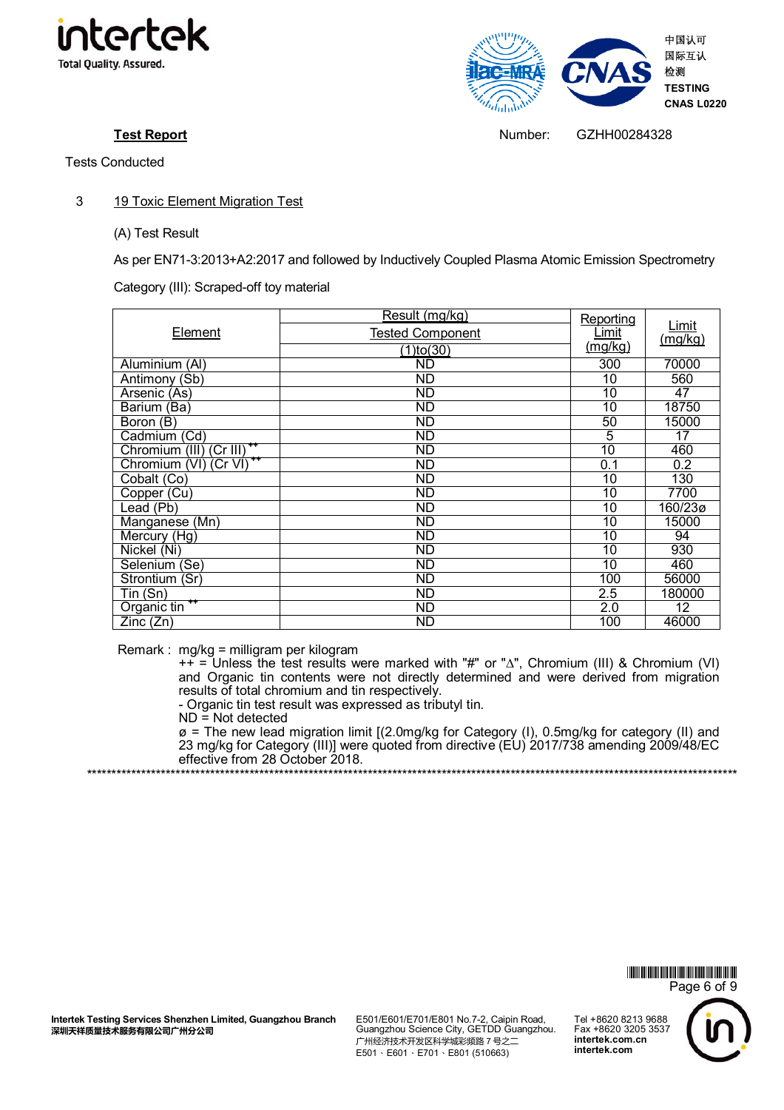

# 3 19 Toxic Element Migration Test

## (A) Test Result

As per EN71-3:2013+A2:2017 and followed by Inductively Coupled Plasma Atomic Emission Spectrometry

Category (III): Scraped-off toy material

|                                        | Result (mg/kg)          | Reporting       |                 |
|----------------------------------------|-------------------------|-----------------|-----------------|
| Element                                | <b>Tested Component</b> | <u>Limit</u>    | Limit           |
|                                        | $(1)$ to $(30)$         | (mq/kg)         | (mg/kg)         |
| Aluminium (AI)                         | $\overline{ND}$         | 300             | 70000           |
| Antimony (Sb)                          | <b>ND</b>               | 10              | 560             |
| Arsenic (As)                           | <b>ND</b>               | 10              | 47              |
| Barium (Ba)                            | <b>ND</b>               | 10              | 18750           |
| Boron $(B)$                            | ND                      | 50              | 15000           |
| Cadmium (Cd)                           | <b>ND</b>               | 5               | $\overline{17}$ |
| Chromium (III) (Cr III)                | <b>ND</b>               | $\overline{10}$ | 460             |
| ++<br>Chromium (VI) (Cr VI)            | <b>ND</b>               | 0.1             | 0.2             |
| Cobalt (Co)                            | $\overline{ND}$         | 10              | 130             |
| Copper (Cu)                            | <b>ND</b>               | 10              | 7700            |
| Lead (Pb)                              | <b>ND</b>               | 10              | 160/23ø         |
| Manganese (Mn)                         | <b>ND</b>               | 10              | 15000           |
| Mercury (Hg)                           | $\overline{ND}$         | $\overline{10}$ | 94              |
| Nickel (Ni)                            | <b>ND</b>               | 10              | 930             |
| Selenium (Se)                          | $\overline{ND}$         | 10              | 460             |
| Strontium (Sr)                         | $\overline{ND}$         | 100             | 56000           |
| Tin (Sn)                               | <b>ND</b>               | 2.5             | 180000          |
| Organic tin <sup>++</sup>              | <b>ND</b>               | 2.0             | 12              |
| $\overline{Z}$ inc ( $\overline{Z}$ n) | ND                      | 100             | 46000           |

Remark : mg/kg = milligram per kilogram

++ = Unless the test results were marked with "#" or "∆", Chromium (III) & Chromium (VI) and Organic tin contents were not directly determined and were derived from migration results of total chromium and tin respectively.

- Organic tin test result was expressed as tributyl tin.

 $ND = Not detected$ 

ø = The new lead migration limit [(2.0mg/kg for Category (I), 0.5mg/kg for category (II) and 23 mg/kg for Category (III)] were quoted from directive (EU) 2017/738 amending 2009/48/EC effective from 28 October 2018. \*\*\*\*\*\*\*\*\*\*\*\*\*\*\*\*\*\*\*\*\*\*\*\*\*\*\*\*\*\*\*\*\*\*\*\*\*\*\*\*\*\*\*\*\*\*\*\*\*\*\*\*\*\*\*\*\*\*\*\*\*\*\*\*\*\*\*\*\*\*\*\*\*\*\*\*\*\*\*\*\*\*\*\*\*\*\*\*\*\*\*\*\*\*\*\*\*\*\*\*\*\*\*\*\*\*\*\*\*\*\*\*\*\*\*\*\*\*\*\*\*\*\*\*\*\*\*\*\*\*\*\*



E501/E601/E701/E801 No.7-2, Caipin Road, Guangzhou Science City, GETDD Guangzhou. 广州经济技术开发区科学城彩频路 7 号之二 E501、E601、E701、E801 (510663)



**Test Report** Number: GZHH00284328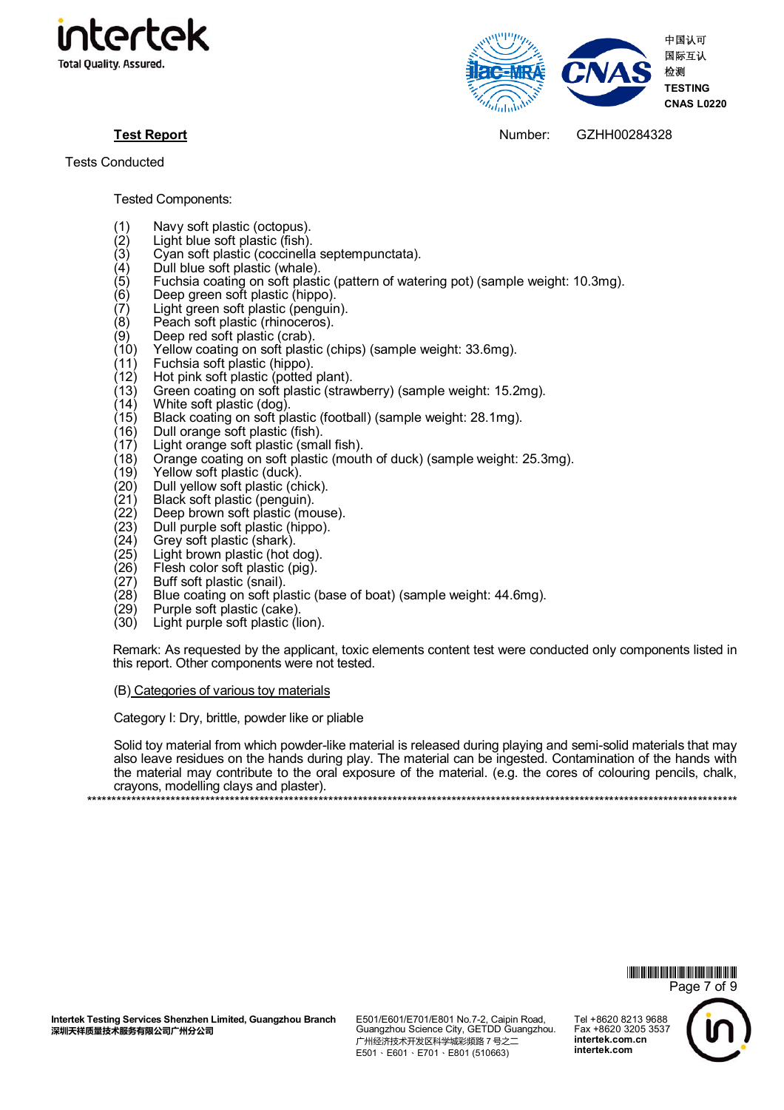



**Test Report** Number: GZHH00284328

Tested Components:

- (1) Navy soft plastic (octopus).<br>(2) Light blue soft plastic (fish).
- (2) Light blue soft plastic (fish).<br>(3) Cyan soft plastic (coccinella
- (3) Cỹan soft plastic (coccinella septempunctata).<br>(4) Dull blue soft plastic (whale).<br>(5) Fuchsia coating on soft plastic (pattern of wate
- Dull blue soft plastic (whale).
- (5) Fuchsia coating on soft plastic (pattern of watering pot) (sample weight: 10.3mg).<br>(6) Deep green soft plastic (hippo).
- (6) Deep green soft plastic (hippo).<br>(7) Light green soft plastic (penguir
- (7) Light green soft plastic (penguin).<br>(8) Peach soft plastic (rhinoceros).
- (8) Peach soft plastic (rhinoceros).<br>(9) Deep red soft plastic (crab).
- $(9)$  Deep red soft plastic (crab).<br> $(10)$  Yellow coating on soft plasti
- (10) Yellow coating on soft plastic (chips) (sample weight: 33.6mg).<br>(11) Fuchsia soft plastic (hippo).
- Fuchsia soft plastic (hippo).
- (12) Hot pink soft plastic (potted plant).
- (13) Green coating on soft plastic (strawberry) (sample weight: 15.2mg).<br>(14) White soft plastic (dog).<br>(15) Black coating on soft plastic (football) (sample weight: 28.1mg).
- White soft plastic (dog).
- (15) Black coating on soft plastic (football) (sample weight: 28.1mg).
- (16) Dull orange soft plastic (fish).<br>(17) Light orange soft plastic (sma
- (17) Light orange soft plastic (small fish).<br>(18) Orange coating on soft plastic (mout
- (18) Orange coating on soft plastic (mouth of duck) (sample weight: 25.3mg).<br>(19) Yellow soft plastic (duck).
- (19) Yellow soft plastic (duck).<br>(20) Dull yellow soft plastic (ch
- $(20)$  Dull yellow soft plastic (chick).<br>(21) Black soft plastic (penguin).
- (21) Black soft plastic (penguin).<br>(22) Deep brown soft plastic (mo
- (22) Deep brown soft plastic (mouse).<br>(23) Dull purple soft plastic (hippo).
- (23) Dull purple soft plastic (hippo).
- (24) Grey soft plastic (shark).<br>(25) Light brown plastic (hot c
- (25) Light brown plastic (hot dog).<br>(26) Flesh color soft plastic (pig).
- (26) Flesh color soft plastic (pig).<br>(27) Buff soft plastic (snail).
- Buff soft plastic (snail).
- (28) Blue coating on soft plastic (base of boat) (sample weight: 44.6mg).<br>(29) Purple soft plastic (cake).<br>(30) Light purple soft plastic (lion).
- Purple soft plastic (cake).
- Light purple soft plastic (lion).

Remark: As requested by the applicant, toxic elements content test were conducted only components listed in this report. Other components were not tested.

(B) Categories of various toy materials

Category I: Dry, brittle, powder like or pliable

Solid toy material from which powder-like material is released during playing and semi-solid materials that may also leave residues on the hands during play. The material can be ingested. Contamination of the hands with the material may contribute to the oral exposure of the material. (e.g. the cores of colouring pencils, chalk, crayons, modelling clays and plaster).

\*\*\*\*\*\*\*\*\*\*\*\*\*\*\*\*\*\*\*\*\*\*\*\*\*\*\*\*\*\*\*\*\*\*\*\*\*\*\*\*\*\*\*\*\*\*\*\*\*\*\*\*\*\*\*\*\*\*\*\*\*\*\*\*\*\*\*\*\*\*\*\*\*\*\*\*\*\*\*\*\*\*\*\*\*\*\*\*\*\*\*\*\*\*\*\*\*\*\*\*\*\*\*\*\*\*\*\*\*\*\*\*\*\*\*\*\*\*\*\*\*\*\*\*\*\*\*\*\*\*\*\*

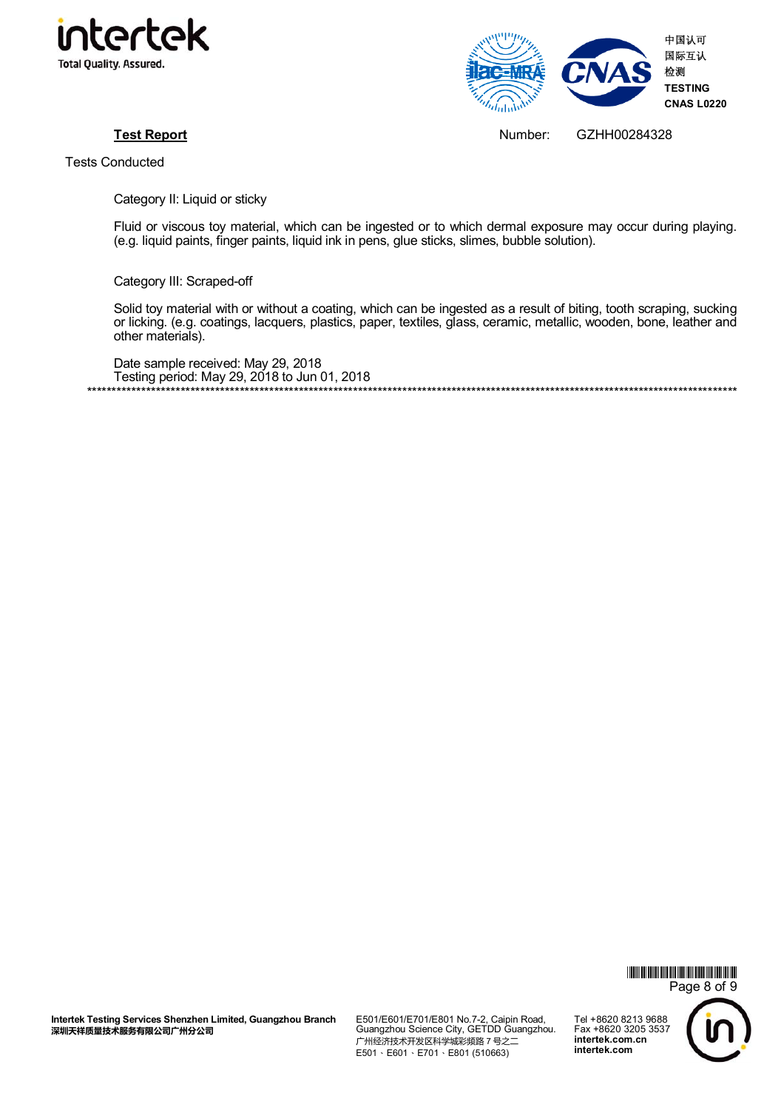



**Test Report** Number: GZHH00284328

Tests Conducted

Category II: Liquid or sticky

Fluid or viscous toy material, which can be ingested or to which dermal exposure may occur during playing. (e.g. liquid paints, finger paints, liquid ink in pens, glue sticks, slimes, bubble solution).

Category III: Scraped-off

Solid toy material with or without a coating, which can be ingested as a result of biting, tooth scraping, sucking or licking. (e.g. coatings, lacquers, plastics, paper, textiles, glass, ceramic, metallic, wooden, bone, leather and other materials).

Date sample received: May 29, 2018 Testing period: May 29, 2018 to Jun 01, 2018 \*\*\*\*\*\*\*\*\*\*\*\*\*\*\*\*\*\*\*\*\*\*\*\*\*\*\*\*\*\*\*\*\*\*\*\*\*\*\*\*\*\*\*\*\*\*\*\*\*\*\*\*\*\*\*\*\*\*\*\*\*\*\*\*\*\*\*\*\*\*\*\*\*\*\*\*\*\*\*\*\*\*\*\*\*\*\*\*\*\*\*\*\*\*\*\*\*\*\*\*\*\*\*\*\*\*\*\*\*\*\*\*\*\*\*\*\*\*\*\*\*\*\*\*\*\*\*\*\*\*\*\*



**Intertek Testing Services Shenzhen Limited, Guangzhou Branch**  深圳天祥质量技术服务有限公司广州分公司